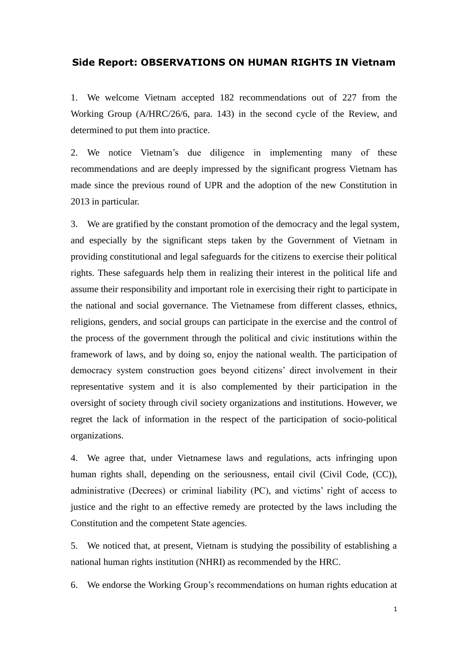## **Side Report: OBSERVATIONS ON HUMAN RIGHTS IN Vietnam**

1. We welcome Vietnam accepted 182 recommendations out of 227 from the Working Group (A/HRC/26/6, para. 143) in the second cycle of the Review, and determined to put them into practice.

2. We notice Vietnam's due diligence in implementing many of these recommendations and are deeply impressed by the significant progress Vietnam has made since the previous round of UPR and the adoption of the new Constitution in 2013 in particular.

3. We are gratified by the constant promotion of the democracy and the legal system, and especially by the significant steps taken by the Government of Vietnam in providing constitutional and legal safeguards for the citizens to exercise their political rights. These safeguards help them in realizing their interest in the political life and assume their responsibility and important role in exercising their right to participate in the national and social governance. The Vietnamese from different classes, ethnics, religions, genders, and social groups can participate in the exercise and the control of the process of the government through the political and civic institutions within the framework of laws, and by doing so, enjoy the national wealth. The participation of democracy system construction goes beyond citizens' direct involvement in their representative system and it is also complemented by their participation in the oversight of society through civil society organizations and institutions. However, we regret the lack of information in the respect of the participation of socio-political organizations.

4. We agree that, under Vietnamese laws and regulations, acts infringing upon human rights shall, depending on the seriousness, entail civil (Civil Code, (CC)), administrative (Decrees) or criminal liability (PC), and victims' right of access to justice and the right to an effective remedy are protected by the laws including the Constitution and the competent State agencies.

5. We noticed that, at present, Vietnam is studying the possibility of establishing a national human rights institution (NHRI) as recommended by the HRC.

6. We endorse the Working Group's recommendations on human rights education at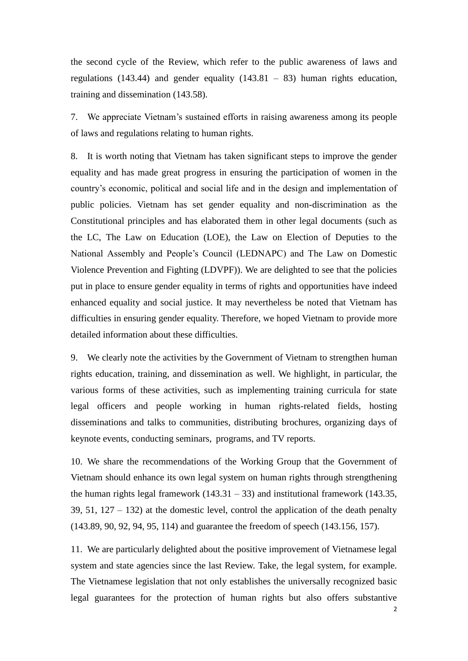the second cycle of the Review, which refer to the public awareness of laws and regulations (143.44) and gender equality (143.81 – 83) human rights education, training and dissemination (143.58).

7. We appreciate Vietnam's sustained efforts in raising awareness among its people of laws and regulations relating to human rights.

8. It is worth noting that Vietnam has taken significant steps to improve the gender equality and has made great progress in ensuring the participation of women in the country's economic, political and social life and in the design and implementation of public policies. Vietnam has set gender equality and non-discrimination as the Constitutional principles and has elaborated them in other legal documents (such as the LC, The Law on Education (LOE), the Law on Election of Deputies to the National Assembly and People's Council (LEDNAPC) and The Law on Domestic Violence Prevention and Fighting (LDVPF)). We are delighted to see that the policies put in place to ensure gender equality in terms of rights and opportunities have indeed enhanced equality and social justice. It may nevertheless be noted that Vietnam has difficulties in ensuring gender equality. Therefore, we hoped Vietnam to provide more detailed information about these difficulties.

9. We clearly note the activities by the Government of Vietnam to strengthen human rights education, training, and dissemination as well. We highlight, in particular, the various forms of these activities, such as implementing training curricula for state legal officers and people working in human rights-related fields, hosting disseminations and talks to communities, distributing brochures, organizing days of keynote events, conducting seminars, programs, and TV reports.

10. We share the recommendations of the Working Group that the Government of Vietnam should enhance its own legal system on human rights through strengthening the human rights legal framework  $(143.31 - 33)$  and institutional framework  $(143.35,$ 39, 51,  $127 - 132$ ) at the domestic level, control the application of the death penalty (143.89, 90, 92, 94, 95, 114) and guarantee the freedom of speech (143.156, 157).

11. We are particularly delighted about the positive improvement of Vietnamese legal system and state agencies since the last Review. Take, the legal system, for example. The Vietnamese legislation that not only establishes the universally recognized basic legal guarantees for the protection of human rights but also offers substantive

2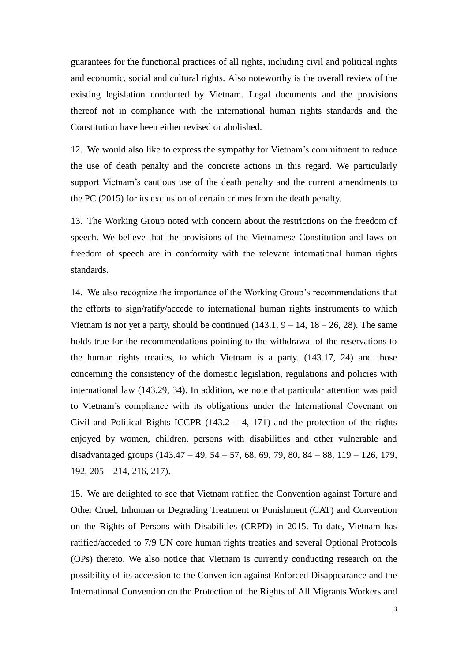guarantees for the functional practices of all rights, including civil and political rights and economic, social and cultural rights. Also noteworthy is the overall review of the existing legislation conducted by Vietnam. Legal documents and the provisions thereof not in compliance with the international human rights standards and the Constitution have been either revised or abolished.

12. We would also like to express the sympathy for Vietnam's commitment to reduce the use of death penalty and the concrete actions in this regard. We particularly support Vietnam's cautious use of the death penalty and the current amendments to the PC (2015) for its exclusion of certain crimes from the death penalty.

13. The Working Group noted with concern about the restrictions on the freedom of speech. We believe that the provisions of the Vietnamese Constitution and laws on freedom of speech are in conformity with the relevant international human rights standards.

14. We also recognize the importance of the Working Group's recommendations that the efforts to sign/ratify/accede to international human rights instruments to which Vietnam is not yet a party, should be continued  $(143.1, 9 - 14, 18 - 26, 28)$ . The same holds true for the recommendations pointing to the withdrawal of the reservations to the human rights treaties, to which Vietnam is a party. (143.17, 24) and those concerning the consistency of the domestic legislation, regulations and policies with international law (143.29, 34). In addition, we note that particular attention was paid to Vietnam's compliance with its obligations under the International Covenant on Civil and Political Rights ICCPR  $(143.2 - 4, 171)$  and the protection of the rights enjoyed by women, children, persons with disabilities and other vulnerable and disadvantaged groups (143.47 – 49, 54 – 57, 68, 69, 79, 80, 84 – 88, 119 – 126, 179, 192, 205 – 214, 216, 217).

15. We are delighted to see that Vietnam ratified the Convention against Torture and Other Cruel, Inhuman or Degrading Treatment or Punishment (CAT) and Convention on the Rights of Persons with Disabilities (CRPD) in 2015. To date, Vietnam has ratified/acceded to 7/9 UN core human rights treaties and several Optional Protocols (OPs) thereto. We also notice that Vietnam is currently conducting research on the possibility of its accession to the Convention against Enforced Disappearance and the International Convention on the Protection of the Rights of All Migrants Workers and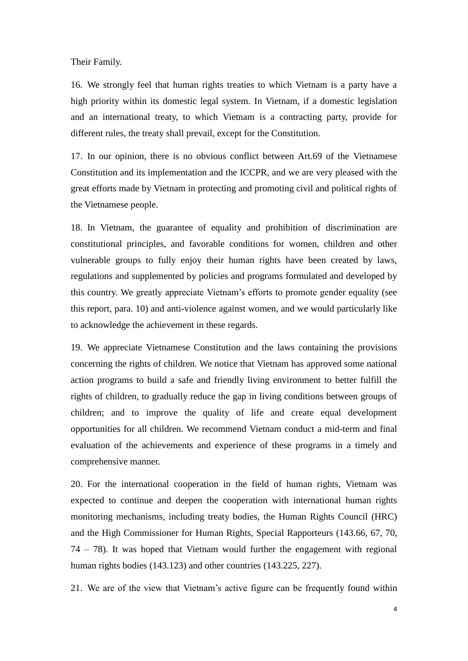Their Family.

16. We strongly feel that human rights treaties to which Vietnam is a party have a high priority within its domestic legal system. In Vietnam, if a domestic legislation and an international treaty, to which Vietnam is a contracting party, provide for different rules, the treaty shall prevail, except for the Constitution.

17. In our opinion, there is no obvious conflict between Art.69 of the Vietnamese Constitution and its implementation and the ICCPR, and we are very pleased with the great efforts made by Vietnam in protecting and promoting civil and political rights of the Vietnamese people.

18. In Vietnam, the guarantee of equality and prohibition of discrimination are constitutional principles, and favorable conditions for women, children and other vulnerable groups to fully enjoy their human rights have been created by laws, regulations and supplemented by policies and programs formulated and developed by this country. We greatly appreciate Vietnam's efforts to promote gender equality (see this report, para. 10) and anti-violence against women, and we would particularly like to acknowledge the achievement in these regards.

19. We appreciate Vietnamese Constitution and the laws containing the provisions concerning the rights of children. We notice that Vietnam has approved some national action programs to build a safe and friendly living environment to better fulfill the rights of children, to gradually reduce the gap in living conditions between groups of children; and to improve the quality of life and create equal development opportunities for all children. We recommend Vietnam conduct a mid-term and final evaluation of the achievements and experience of these programs in a timely and comprehensive manner.

20. For the international cooperation in the field of human rights, Vietnam was expected to continue and deepen the cooperation with international human rights monitoring mechanisms, including treaty bodies, the Human Rights Council (HRC) and the High Commissioner for Human Rights, Special Rapporteurs (143.66, 67, 70, 74 – 78). It was hoped that Vietnam would further the engagement with regional human rights bodies (143.123) and other countries (143.225, 227).

21. We are of the view that Vietnam's active figure can be frequently found within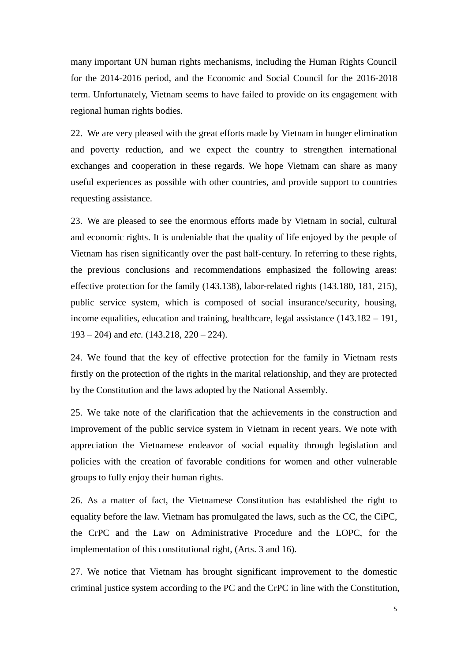many important UN human rights mechanisms, including the Human Rights Council for the 2014-2016 period, and the Economic and Social Council for the 2016-2018 term. Unfortunately, Vietnam seems to have failed to provide on its engagement with regional human rights bodies.

22. We are very pleased with the great efforts made by Vietnam in hunger elimination and poverty reduction, and we expect the country to strengthen international exchanges and cooperation in these regards. We hope Vietnam can share as many useful experiences as possible with other countries, and provide support to countries requesting assistance.

23. We are pleased to see the enormous efforts made by Vietnam in social, cultural and economic rights. It is undeniable that the quality of life enjoyed by the people of Vietnam has risen significantly over the past half-century. In referring to these rights, the previous conclusions and recommendations emphasized the following areas: effective protection for the family (143.138), labor-related rights (143.180, 181, 215), public service system, which is composed of social insurance/security, housing, income equalities, education and training, healthcare, legal assistance (143.182 – 191, 193 – 204) and *etc*. (143.218, 220 – 224).

24. We found that the key of effective protection for the family in Vietnam rests firstly on the protection of the rights in the marital relationship, and they are protected by the Constitution and the laws adopted by the National Assembly.

25. We take note of the clarification that the achievements in the construction and improvement of the public service system in Vietnam in recent years. We note with appreciation the Vietnamese endeavor of social equality through legislation and policies with the creation of favorable conditions for women and other vulnerable groups to fully enjoy their human rights.

26. As a matter of fact, the Vietnamese Constitution has established the right to equality before the law. Vietnam has promulgated the laws, such as the CC, the CiPC, the CrPC and the Law on Administrative Procedure and the LOPC, for the implementation of this constitutional right, (Arts. 3 and 16).

27. We notice that Vietnam has brought significant improvement to the domestic criminal justice system according to the PC and the CrPC in line with the Constitution,